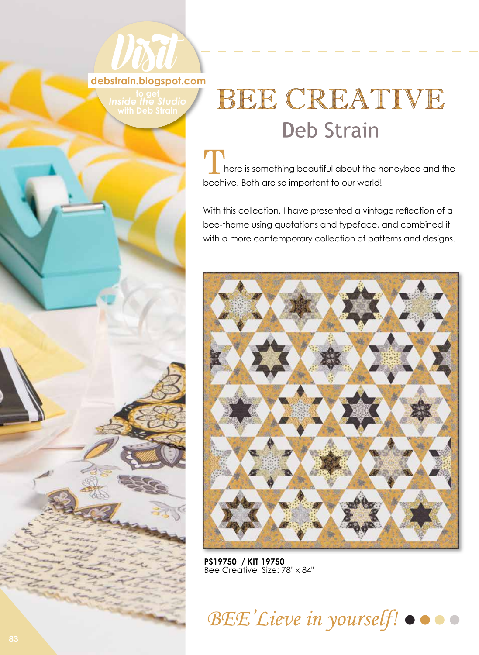

# BEE CREATIVE **Deb Strain**

**here is something beautiful about the honeybee and the** beehive. Both are so important to our world!

With this collection, I have presented a vintage reflection of a bee-theme using quotations and typeface, and combined it with a more contemporary collection of patterns and designs.



**PS19750 / KIT 19750** Bee Creative Size: 78" x 84"

BEE' Lieve in yourself!  $\bullet \bullet \bullet$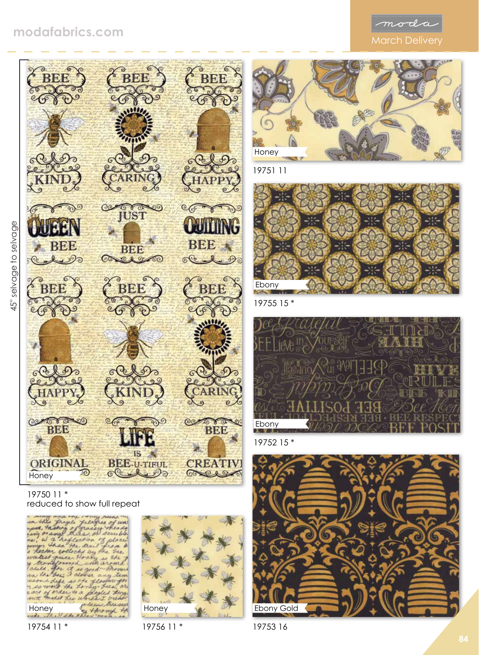### **modafabrics.com**

### moda March Delivery



### 19750 11 \* reduced to show full repeat



19754 11 \*



19756 11 \*



Ebony Gold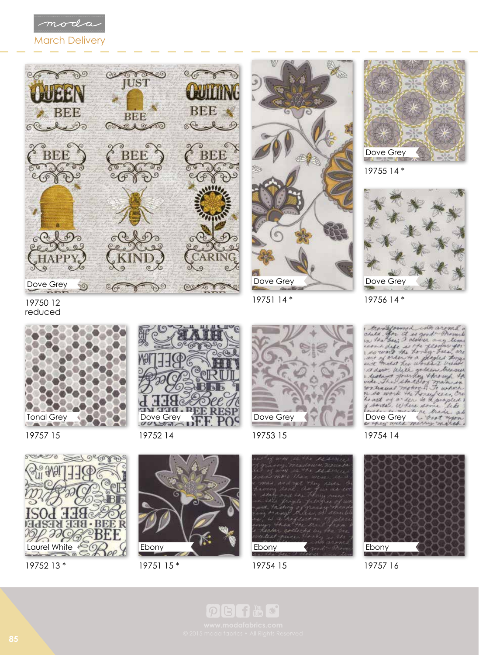



19751 14 \*







19750 12 reduced



Dove Grey BB 19752 14

19757 15



19752 13 \*



19751 15 \*



19753 15



19754 15

19756 14 \*



19754 14



19757 16